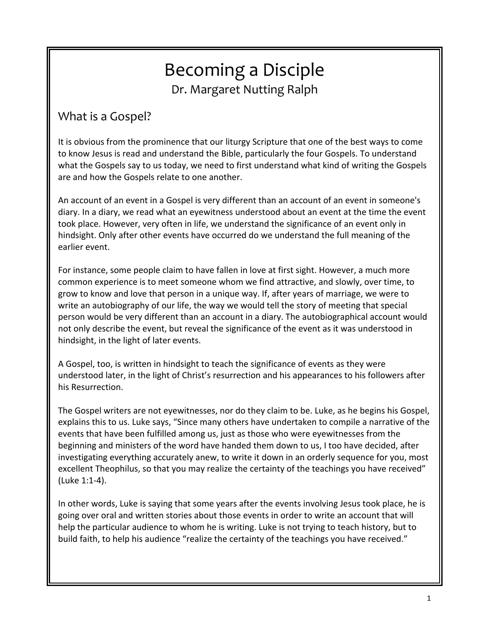# Becoming a Disciple Dr. Margaret Nutting Ralph

## What is a Gospel?

It is obvious from the prominence that our liturgy Scripture that one of the best ways to come to know Jesus is read and understand the Bible, particularly the four Gospels. To understand what the Gospels say to us today, we need to first understand what kind of writing the Gospels are and how the Gospels relate to one another.

An account of an event in a Gospel is very different than an account of an event in someone's diary. In a diary, we read what an eyewitness understood about an event at the time the event took place. However, very often in life, we understand the significance of an event only in hindsight. Only after other events have occurred do we understand the full meaning of the earlier event.

For instance, some people claim to have fallen in love at first sight. However, a much more common experience is to meet someone whom we find attractive, and slowly, over time, to grow to know and love that person in a unique way. If, after years of marriage, we were to write an autobiography of our life, the way we would tell the story of meeting that special person would be very different than an account in a diary. The autobiographical account would not only describe the event, but reveal the significance of the event as it was understood in hindsight, in the light of later events.

A Gospel, too, is written in hindsight to teach the significance of events as they were understood later, in the light of Christ's resurrection and his appearances to his followers after his Resurrection.

The Gospel writers are not eyewitnesses, nor do they claim to be. Luke, as he begins his Gospel, explains this to us. Luke says, "Since many others have undertaken to compile a narrative of the events that have been fulfilled among us, just as those who were eyewitnesses from the beginning and ministers of the word have handed them down to us, I too have decided, after investigating everything accurately anew, to write it down in an orderly sequence for you, most excellent Theophilus, so that you may realize the certainty of the teachings you have received" (Luke 1:1-4).

In other words, Luke is saying that some years after the events involving Jesus took place, he is going over oral and written stories about those events in order to write an account that will help the particular audience to whom he is writing. Luke is not trying to teach history, but to build faith, to help his audience "realize the certainty of the teachings you have received."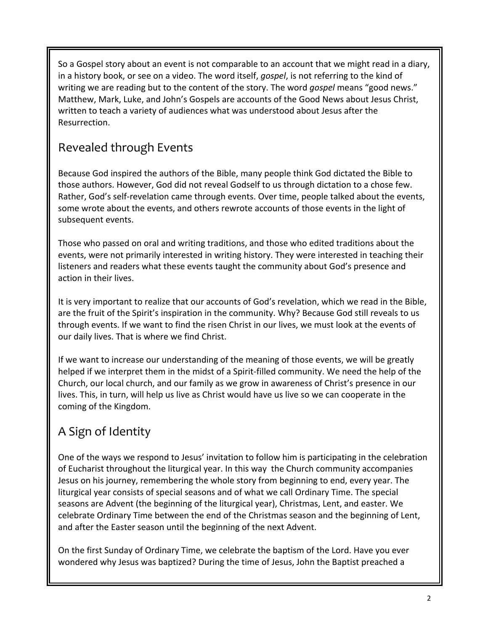So a Gospel story about an event is not comparable to an account that we might read in a diary, in a history book, or see on a video. The word itself, *gospel*, is not referring to the kind of writing we are reading but to the content of the story. The word *gospel* means "good news." Matthew, Mark, Luke, and John's Gospels are accounts of the Good News about Jesus Christ, written to teach a variety of audiences what was understood about Jesus after the Resurrection.

# Revealed through Events

Because God inspired the authors of the Bible, many people think God dictated the Bible to those authors. However, God did not reveal Godself to us through dictation to a chose few. Rather, God's self-revelation came through events. Over time, people talked about the events, some wrote about the events, and others rewrote accounts of those events in the light of subsequent events.

Those who passed on oral and writing traditions, and those who edited traditions about the events, were not primarily interested in writing history. They were interested in teaching their listeners and readers what these events taught the community about God's presence and action in their lives.

It is very important to realize that our accounts of God's revelation, which we read in the Bible, are the fruit of the Spirit's inspiration in the community. Why? Because God still reveals to us through events. If we want to find the risen Christ in our lives, we must look at the events of our daily lives. That is where we find Christ.

If we want to increase our understanding of the meaning of those events, we will be greatly helped if we interpret them in the midst of a Spirit-filled community. We need the help of the Church, our local church, and our family as we grow in awareness of Christ's presence in our lives. This, in turn, will help us live as Christ would have us live so we can cooperate in the coming of the Kingdom.

# A Sign of Identity

One of the ways we respond to Jesus' invitation to follow him is participating in the celebration of Eucharist throughout the liturgical year. In this way the Church community accompanies Jesus on his journey, remembering the whole story from beginning to end, every year. The liturgical year consists of special seasons and of what we call Ordinary Time. The special seasons are Advent (the beginning of the liturgical year), Christmas, Lent, and easter. We celebrate Ordinary Time between the end of the Christmas season and the beginning of Lent, and after the Easter season until the beginning of the next Advent.

On the first Sunday of Ordinary Time, we celebrate the baptism of the Lord. Have you ever wondered why Jesus was baptized? During the time of Jesus, John the Baptist preached a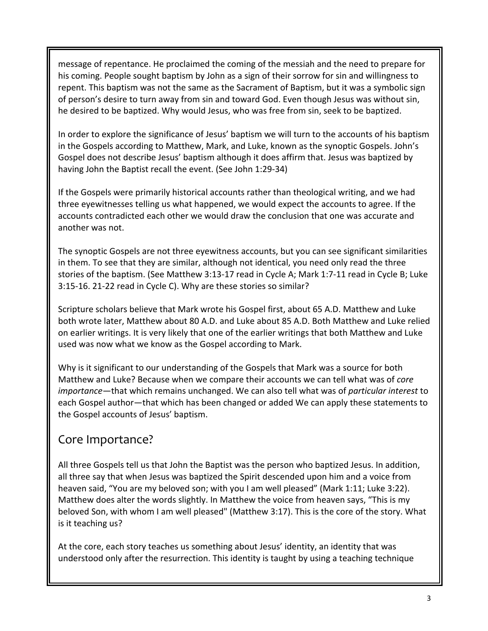message of repentance. He proclaimed the coming of the messiah and the need to prepare for his coming. People sought baptism by John as a sign of their sorrow for sin and willingness to repent. This baptism was not the same as the Sacrament of Baptism, but it was a symbolic sign of person's desire to turn away from sin and toward God. Even though Jesus was without sin, he desired to be baptized. Why would Jesus, who was free from sin, seek to be baptized.

In order to explore the significance of Jesus' baptism we will turn to the accounts of his baptism in the Gospels according to Matthew, Mark, and Luke, known as the synoptic Gospels. John's Gospel does not describe Jesus' baptism although it does affirm that. Jesus was baptized by having John the Baptist recall the event. (See John 1:29-34)

If the Gospels were primarily historical accounts rather than theological writing, and we had three eyewitnesses telling us what happened, we would expect the accounts to agree. If the accounts contradicted each other we would draw the conclusion that one was accurate and another was not.

The synoptic Gospels are not three eyewitness accounts, but you can see significant similarities in them. To see that they are similar, although not identical, you need only read the three stories of the baptism. (See Matthew 3:13-17 read in Cycle A; Mark 1:7-11 read in Cycle B; Luke 3:15-16. 21-22 read in Cycle C). Why are these stories so similar?

Scripture scholars believe that Mark wrote his Gospel first, about 65 A.D. Matthew and Luke both wrote later, Matthew about 80 A.D. and Luke about 85 A.D. Both Matthew and Luke relied on earlier writings. It is very likely that one of the earlier writings that both Matthew and Luke used was now what we know as the Gospel according to Mark.

Why is it significant to our understanding of the Gospels that Mark was a source for both Matthew and Luke? Because when we compare their accounts we can tell what was of *core importance*—that which remains unchanged. We can also tell what was of *particular interest* to each Gospel author—that which has been changed or added We can apply these statements to the Gospel accounts of Jesus' baptism.

#### Core Importance?

All three Gospels tell us that John the Baptist was the person who baptized Jesus. In addition, all three say that when Jesus was baptized the Spirit descended upon him and a voice from heaven said, "You are my beloved son; with you I am well pleased" (Mark 1:11; Luke 3:22). Matthew does alter the words slightly. In Matthew the voice from heaven says, "This is my beloved Son, with whom I am well pleased" (Matthew 3:17). This is the core of the story. What is it teaching us?

At the core, each story teaches us something about Jesus' identity, an identity that was understood only after the resurrection. This identity is taught by using a teaching technique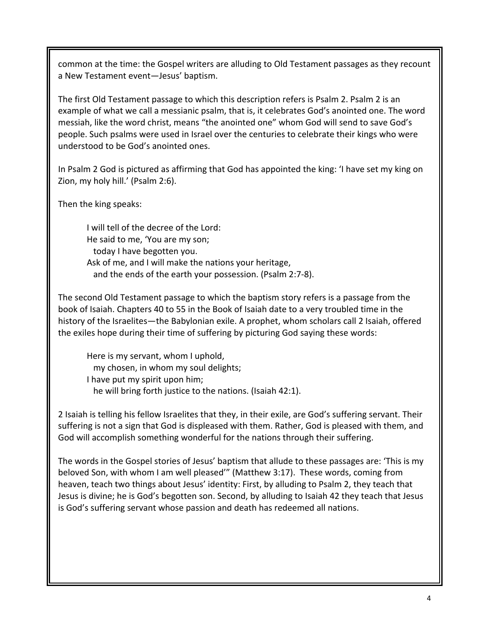common at the time: the Gospel writers are alluding to Old Testament passages as they recount a New Testament event—Jesus' baptism.

The first Old Testament passage to which this description refers is Psalm 2. Psalm 2 is an example of what we call a messianic psalm, that is, it celebrates God's anointed one. The word messiah, like the word christ, means "the anointed one" whom God will send to save God's people. Such psalms were used in Israel over the centuries to celebrate their kings who were understood to be God's anointed ones.

In Psalm 2 God is pictured as affirming that God has appointed the king: 'I have set my king on Zion, my holy hill.' (Psalm 2:6).

Then the king speaks:

I will tell of the decree of the Lord: He said to me, 'You are my son; today I have begotten you. Ask of me, and I will make the nations your heritage, and the ends of the earth your possession. (Psalm 2:7-8).

The second Old Testament passage to which the baptism story refers is a passage from the book of Isaiah. Chapters 40 to 55 in the Book of Isaiah date to a very troubled time in the history of the Israelites—the Babylonian exile. A prophet, whom scholars call 2 Isaiah, offered the exiles hope during their time of suffering by picturing God saying these words:

Here is my servant, whom I uphold, my chosen, in whom my soul delights; I have put my spirit upon him; he will bring forth justice to the nations. (Isaiah 42:1).

2 Isaiah is telling his fellow Israelites that they, in their exile, are God's suffering servant. Their suffering is not a sign that God is displeased with them. Rather, God is pleased with them, and God will accomplish something wonderful for the nations through their suffering.

The words in the Gospel stories of Jesus' baptism that allude to these passages are: 'This is my beloved Son, with whom I am well pleased'" (Matthew 3:17). These words, coming from heaven, teach two things about Jesus' identity: First, by alluding to Psalm 2, they teach that Jesus is divine; he is God's begotten son. Second, by alluding to Isaiah 42 they teach that Jesus is God's suffering servant whose passion and death has redeemed all nations.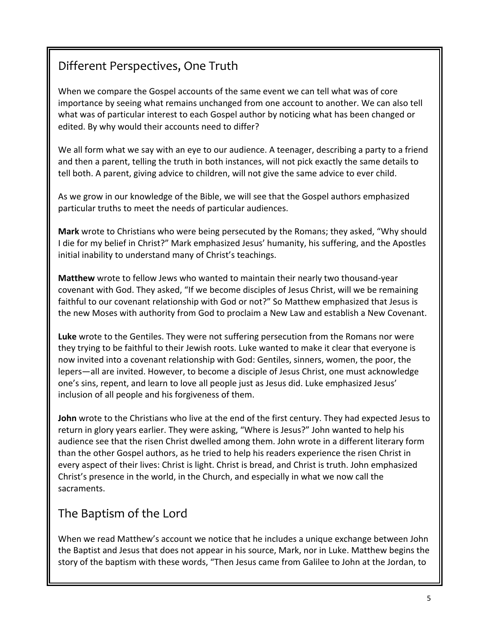# Different Perspectives, One Truth

When we compare the Gospel accounts of the same event we can tell what was of core importance by seeing what remains unchanged from one account to another. We can also tell what was of particular interest to each Gospel author by noticing what has been changed or edited. By why would their accounts need to differ?

We all form what we say with an eye to our audience. A teenager, describing a party to a friend and then a parent, telling the truth in both instances, will not pick exactly the same details to tell both. A parent, giving advice to children, will not give the same advice to ever child.

As we grow in our knowledge of the Bible, we will see that the Gospel authors emphasized particular truths to meet the needs of particular audiences.

**Mark** wrote to Christians who were being persecuted by the Romans; they asked, "Why should I die for my belief in Christ?" Mark emphasized Jesus' humanity, his suffering, and the Apostles initial inability to understand many of Christ's teachings.

**Matthew** wrote to fellow Jews who wanted to maintain their nearly two thousand-year covenant with God. They asked, "If we become disciples of Jesus Christ, will we be remaining faithful to our covenant relationship with God or not?" So Matthew emphasized that Jesus is the new Moses with authority from God to proclaim a New Law and establish a New Covenant.

**Luke** wrote to the Gentiles. They were not suffering persecution from the Romans nor were they trying to be faithful to their Jewish roots. Luke wanted to make it clear that everyone is now invited into a covenant relationship with God: Gentiles, sinners, women, the poor, the lepers—all are invited. However, to become a disciple of Jesus Christ, one must acknowledge one's sins, repent, and learn to love all people just as Jesus did. Luke emphasized Jesus' inclusion of all people and his forgiveness of them.

**John** wrote to the Christians who live at the end of the first century. They had expected Jesus to return in glory years earlier. They were asking, "Where is Jesus?" John wanted to help his audience see that the risen Christ dwelled among them. John wrote in a different literary form than the other Gospel authors, as he tried to help his readers experience the risen Christ in every aspect of their lives: Christ is light. Christ is bread, and Christ is truth. John emphasized Christ's presence in the world, in the Church, and especially in what we now call the sacraments.

### The Baptism of the Lord

When we read Matthew's account we notice that he includes a unique exchange between John the Baptist and Jesus that does not appear in his source, Mark, nor in Luke. Matthew begins the story of the baptism with these words, "Then Jesus came from Galilee to John at the Jordan, to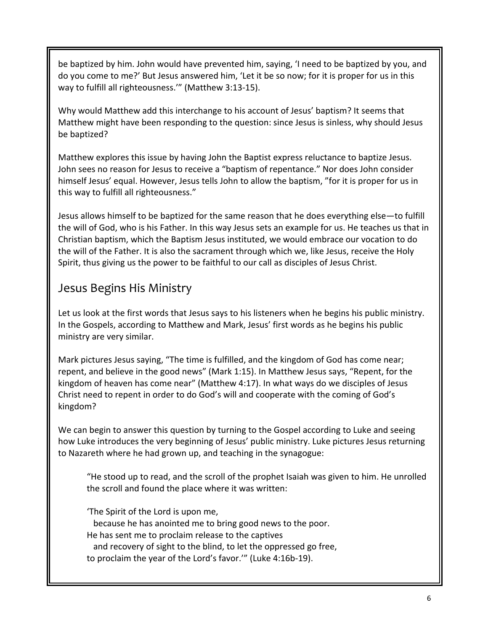be baptized by him. John would have prevented him, saying, 'I need to be baptized by you, and do you come to me?' But Jesus answered him, 'Let it be so now; for it is proper for us in this way to fulfill all righteousness.'" (Matthew 3:13-15).

Why would Matthew add this interchange to his account of Jesus' baptism? It seems that Matthew might have been responding to the question: since Jesus is sinless, why should Jesus be baptized?

Matthew explores this issue by having John the Baptist express reluctance to baptize Jesus. John sees no reason for Jesus to receive a "baptism of repentance." Nor does John consider himself Jesus' equal. However, Jesus tells John to allow the baptism, "for it is proper for us in this way to fulfill all righteousness."

Jesus allows himself to be baptized for the same reason that he does everything else—to fulfill the will of God, who is his Father. In this way Jesus sets an example for us. He teaches us that in Christian baptism, which the Baptism Jesus instituted, we would embrace our vocation to do the will of the Father. It is also the sacrament through which we, like Jesus, receive the Holy Spirit, thus giving us the power to be faithful to our call as disciples of Jesus Christ.

## Jesus Begins His Ministry

Let us look at the first words that Jesus says to his listeners when he begins his public ministry. In the Gospels, according to Matthew and Mark, Jesus' first words as he begins his public ministry are very similar.

Mark pictures Jesus saying, "The time is fulfilled, and the kingdom of God has come near; repent, and believe in the good news" (Mark 1:15). In Matthew Jesus says, "Repent, for the kingdom of heaven has come near" (Matthew 4:17). In what ways do we disciples of Jesus Christ need to repent in order to do God's will and cooperate with the coming of God's kingdom?

We can begin to answer this question by turning to the Gospel according to Luke and seeing how Luke introduces the very beginning of Jesus' public ministry. Luke pictures Jesus returning to Nazareth where he had grown up, and teaching in the synagogue:

"He stood up to read, and the scroll of the prophet Isaiah was given to him. He unrolled the scroll and found the place where it was written:

'The Spirit of the Lord is upon me, because he has anointed me to bring good news to the poor. He has sent me to proclaim release to the captives and recovery of sight to the blind, to let the oppressed go free, to proclaim the year of the Lord's favor.'" (Luke 4:16b-19).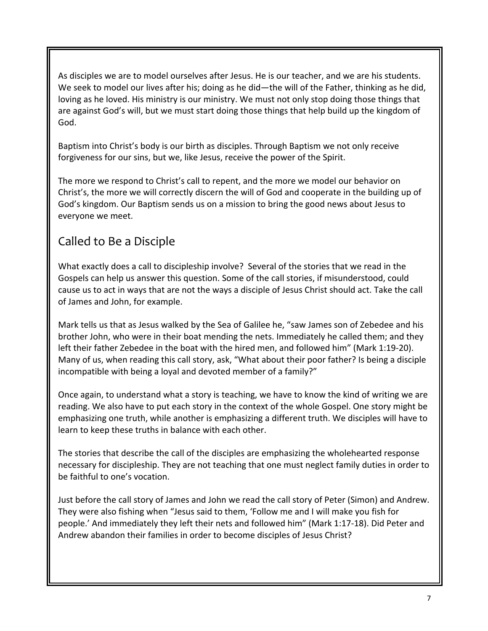As disciples we are to model ourselves after Jesus. He is our teacher, and we are his students. We seek to model our lives after his; doing as he did—the will of the Father, thinking as he did, loving as he loved. His ministry is our ministry. We must not only stop doing those things that are against God's will, but we must start doing those things that help build up the kingdom of God.

Baptism into Christ's body is our birth as disciples. Through Baptism we not only receive forgiveness for our sins, but we, like Jesus, receive the power of the Spirit.

The more we respond to Christ's call to repent, and the more we model our behavior on Christ's, the more we will correctly discern the will of God and cooperate in the building up of God's kingdom. Our Baptism sends us on a mission to bring the good news about Jesus to everyone we meet.

## Called to Be a Disciple

What exactly does a call to discipleship involve? Several of the stories that we read in the Gospels can help us answer this question. Some of the call stories, if misunderstood, could cause us to act in ways that are not the ways a disciple of Jesus Christ should act. Take the call of James and John, for example.

Mark tells us that as Jesus walked by the Sea of Galilee he, "saw James son of Zebedee and his brother John, who were in their boat mending the nets. Immediately he called them; and they left their father Zebedee in the boat with the hired men, and followed him" (Mark 1:19-20). Many of us, when reading this call story, ask, "What about their poor father? Is being a disciple incompatible with being a loyal and devoted member of a family?"

Once again, to understand what a story is teaching, we have to know the kind of writing we are reading. We also have to put each story in the context of the whole Gospel. One story might be emphasizing one truth, while another is emphasizing a different truth. We disciples will have to learn to keep these truths in balance with each other.

The stories that describe the call of the disciples are emphasizing the wholehearted response necessary for discipleship. They are not teaching that one must neglect family duties in order to be faithful to one's vocation.

Just before the call story of James and John we read the call story of Peter (Simon) and Andrew. They were also fishing when "Jesus said to them, 'Follow me and I will make you fish for people.' And immediately they left their nets and followed him" (Mark 1:17-18). Did Peter and Andrew abandon their families in order to become disciples of Jesus Christ?